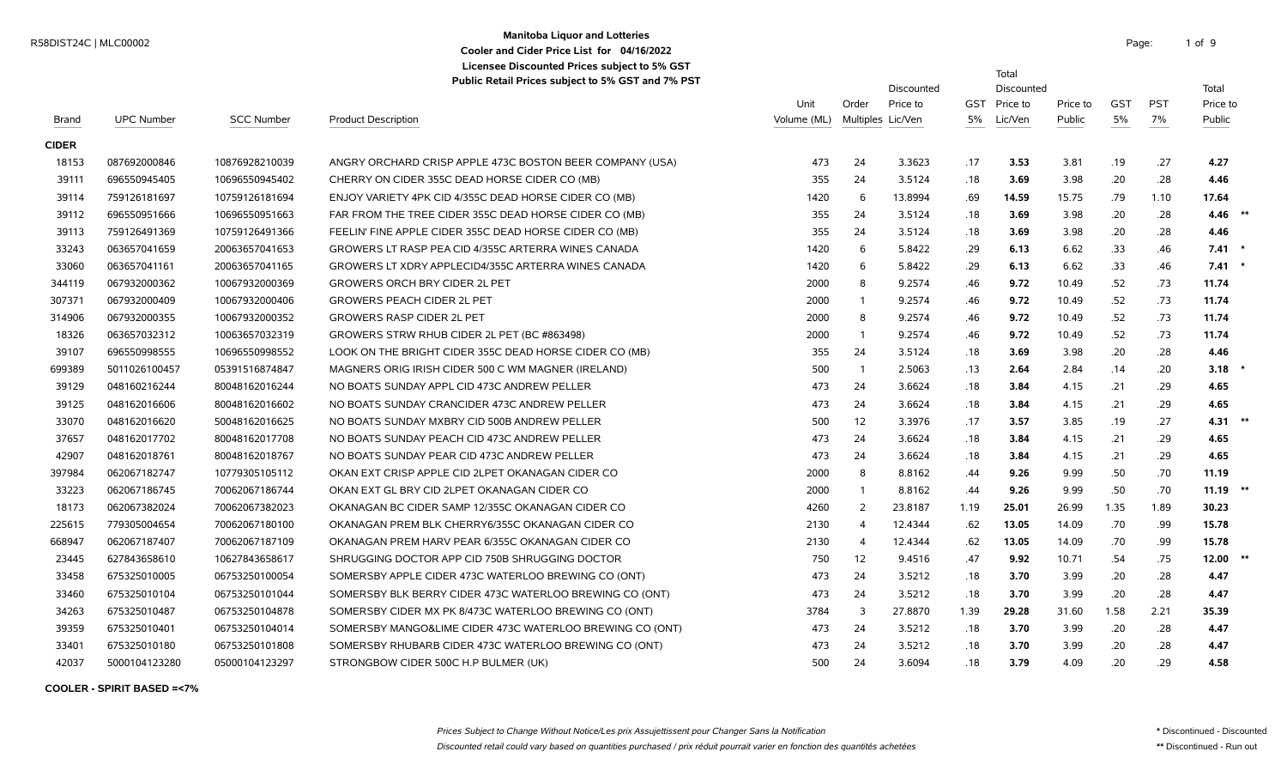# **Manitoba Liquor and Lotteries** Manhoba Enquirant Duteries<br>
Casher and Court Drive List for 04/16/2022 **Cooler and Cider Price List for 04/16/2022**

Total

**Licensee Discounted Prices subject to 5% GST**

**Public Retail Prices subject to 5% GST and 7% PST**

|              |                   |                   |                                                          |             |                   | Discounted |            | Discounted |          |            |            | Total      |  |
|--------------|-------------------|-------------------|----------------------------------------------------------|-------------|-------------------|------------|------------|------------|----------|------------|------------|------------|--|
|              |                   |                   |                                                          | Unit        | Order             | Price to   | <b>GST</b> | Price to   | Price to | <b>GST</b> | <b>PST</b> | Price to   |  |
| <b>Brand</b> | <b>UPC Number</b> | <b>SCC Number</b> | <b>Product Description</b>                               | Volume (ML) | Multiples Lic/Ven |            | 5%         | Lic/Ven    | Public   | 5%         | 7%         | Public     |  |
| <b>CIDER</b> |                   |                   |                                                          |             |                   |            |            |            |          |            |            |            |  |
| 18153        | 087692000846      | 10876928210039    | ANGRY ORCHARD CRISP APPLE 473C BOSTON BEER COMPANY (USA) | 473         | 24                | 3.3623     | .17        | 3.53       | 3.81     | .19        | .27        | 4.27       |  |
| 39111        | 696550945405      | 10696550945402    | CHERRY ON CIDER 355C DEAD HORSE CIDER CO (MB)            | 355         | 24                | 3.5124     | .18        | 3.69       | 3.98     | .20        | .28        | 4.46       |  |
| 39114        | 759126181697      | 10759126181694    | ENJOY VARIETY 4PK CID 4/355C DEAD HORSE CIDER CO (MB)    | 1420        | 6                 | 13.8994    | .69        | 14.59      | 15.75    | .79        | 1.10       | 17.64      |  |
| 39112        | 696550951666      | 10696550951663    | FAR FROM THE TREE CIDER 355C DEAD HORSE CIDER CO (MB)    | 355         | 24                | 3.5124     | .18        | 3.69       | 3.98     | .20        | .28        | $4.46$ **  |  |
| 39113        | 759126491369      | 10759126491366    | FEELIN' FINE APPLE CIDER 355C DEAD HORSE CIDER CO (MB)   | 355         | 24                | 3.5124     | .18        | 3.69       | 3.98     | .20        | .28        | 4.46       |  |
| 33243        | 063657041659      | 20063657041653    | GROWERS LT RASP PEA CID 4/355C ARTERRA WINES CANADA      | 1420        | 6                 | 5.8422     | .29        | 6.13       | 6.62     | .33        | .46        | $7.41$ *   |  |
| 33060        | 063657041161      | 20063657041165    | GROWERS LT XDRY APPLECID4/355C ARTERRA WINES CANADA      | 1420        | 6                 | 5.8422     | .29        | 6.13       | 6.62     | .33        | .46        | $7.41$ *   |  |
| 344119       | 067932000362      | 10067932000369    | <b>GROWERS ORCH BRY CIDER 2L PET</b>                     | 2000        | 8                 | 9.2574     | .46        | 9.72       | 10.49    | .52        | .73        | 11.74      |  |
| 307371       | 067932000409      | 10067932000406    | <b>GROWERS PEACH CIDER 2L PET</b>                        | 2000        | -1                | 9.2574     | .46        | 9.72       | 10.49    | .52        | .73        | 11.74      |  |
| 314906       | 067932000355      | 10067932000352    | <b>GROWERS RASP CIDER 2L PET</b>                         | 2000        | 8                 | 9.2574     | .46        | 9.72       | 10.49    | .52        | .73        | 11.74      |  |
| 18326        | 063657032312      | 10063657032319    | GROWERS STRW RHUB CIDER 2L PET (BC #863498)              | 2000        | $\overline{1}$    | 9.2574     | .46        | 9.72       | 10.49    | .52        | .73        | 11.74      |  |
| 39107        | 696550998555      | 10696550998552    | LOOK ON THE BRIGHT CIDER 355C DEAD HORSE CIDER CO (MB)   | 355         | 24                | 3.5124     | .18        | 3.69       | 3.98     | .20        | .28        | 4.46       |  |
| 699389       | 5011026100457     | 05391516874847    | MAGNERS ORIG IRISH CIDER 500 C WM MAGNER (IRELAND)       | 500         | $\overline{1}$    | 2.5063     | .13        | 2.64       | 2.84     | .14        | .20        | $3.18$ *   |  |
| 39129        | 048160216244      | 80048162016244    | NO BOATS SUNDAY APPL CID 473C ANDREW PELLER              | 473         | 24                | 3.6624     | .18        | 3.84       | 4.15     | .21        | .29        | 4.65       |  |
| 39125        | 048162016606      | 80048162016602    | NO BOATS SUNDAY CRANCIDER 473C ANDREW PELLER             | 473         | 24                | 3.6624     | .18        | 3.84       | 4.15     | .21        | .29        | 4.65       |  |
| 33070        | 048162016620      | 50048162016625    | NO BOATS SUNDAY MXBRY CID 500B ANDREW PELLER             | 500         | 12                | 3.3976     | .17        | 3.57       | 3.85     | .19        | .27        | 4.31 $**$  |  |
| 37657        | 048162017702      | 80048162017708    | NO BOATS SUNDAY PEACH CID 473C ANDREW PELLER             | 473         | 24                | 3.6624     | .18        | 3.84       | 4.15     | .21        | .29        | 4.65       |  |
| 42907        | 048162018761      | 80048162018767    | NO BOATS SUNDAY PEAR CID 473C ANDREW PELLER              | 473         | 24                | 3.6624     | .18        | 3.84       | 4.15     | .21        | .29        | 4.65       |  |
| 397984       | 062067182747      | 10779305105112    | OKAN EXT CRISP APPLE CID 2LPET OKANAGAN CIDER CO         | 2000        | 8                 | 8.8162     | .44        | 9.26       | 9.99     | .50        | .70        | 11.19      |  |
| 33223        | 062067186745      | 70062067186744    | OKAN EXT GL BRY CID 2LPET OKANAGAN CIDER CO              | 2000        | $\overline{1}$    | 8.8162     | .44        | 9.26       | 9.99     | .50        | .70        | $11.19$ ** |  |
| 18173        | 062067382024      | 70062067382023    | OKANAGAN BC CIDER SAMP 12/355C OKANAGAN CIDER CO         | 4260        | 2                 | 23.8187    | 1.19       | 25.01      | 26.99    | 1.35       | 1.89       | 30.23      |  |
| 225615       | 779305004654      | 70062067180100    | OKANAGAN PREM BLK CHERRY6/355C OKANAGAN CIDER CO         | 2130        | $\overline{4}$    | 12.4344    | .62        | 13.05      | 14.09    | .70        | .99        | 15.78      |  |
| 668947       | 062067187407      | 70062067187109    | OKANAGAN PREM HARV PEAR 6/355C OKANAGAN CIDER CO         | 2130        | $\overline{4}$    | 12.4344    | .62        | 13.05      | 14.09    | .70        | .99        | 15.78      |  |
| 23445        | 627843658610      | 10627843658617    | SHRUGGING DOCTOR APP CID 750B SHRUGGING DOCTOR           | 750         | 12                | 9.4516     | .47        | 9.92       | 10.71    | .54        | .75        | $12.00$ ** |  |
| 33458        | 675325010005      | 06753250100054    | SOMERSBY APPLE CIDER 473C WATERLOO BREWING CO (ONT)      | 473         | 24                | 3.5212     | .18        | 3.70       | 3.99     | .20        | .28        | 4.47       |  |
| 33460        | 675325010104      | 06753250101044    | SOMERSBY BLK BERRY CIDER 473C WATERLOO BREWING CO (ONT)  | 473         | 24                | 3.5212     | .18        | 3.70       | 3.99     | .20        | .28        | 4.47       |  |
| 34263        | 675325010487      | 06753250104878    | SOMERSBY CIDER MX PK 8/473C WATERLOO BREWING CO (ONT)    | 3784        | $\overline{3}$    | 27.8870    | 1.39       | 29.28      | 31.60    | 1.58       | 2.21       | 35.39      |  |
| 39359        | 675325010401      | 06753250104014    | SOMERSBY MANGO&LIME CIDER 473C WATERLOO BREWING CO (ONT) | 473         | 24                | 3.5212     | .18        | 3.70       | 3.99     | .20        | .28        | 4.47       |  |
| 33401        | 675325010180      | 06753250101808    | SOMERSBY RHUBARB CIDER 473C WATERLOO BREWING CO (ONT)    | 473         | 24                | 3.5212     | .18        | 3.70       | 3.99     | .20        | .28        | 4.47       |  |
| 42037        | 5000104123280     | 05000104123297    | STRONGBOW CIDER 500C H.P BULMER (UK)                     | 500         | 24                | 3.6094     | .18        | 3.79       | 4.09     | .20        | .29        | 4.58       |  |

**COOLER - SPIRIT BASED =<7%**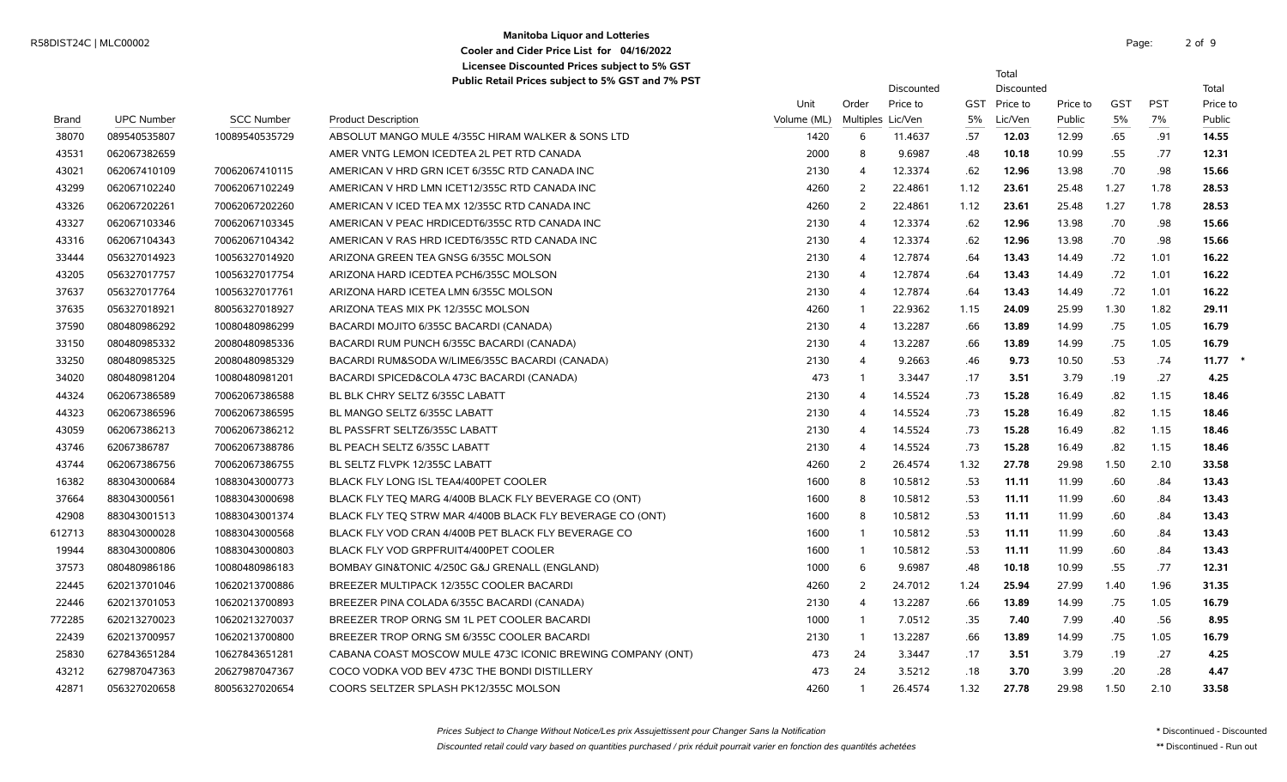# **Manitoba Liquor and Lotteries** R58DIST24C | MLC00002 Page: 2 of the page: 2 of the page: 2 of the page: 2 of the page: 2 of the page: 2 of the page: 2 of the page: 2 of the page: 2 of the page: 2 of the page: 2 of the page: 2 of the page: 2 of the page: **Cooler and Cider Price List for 04/16/2022 Licensee Discounted Prices subject to 5% GST**

2 of 9

Total

|              |                   |                   | $\epsilon$ is the contracted by a growing $\epsilon$ and $\epsilon$ and $\epsilon$ and $\epsilon$ |             |                         | Discounted        |            | Discounted |          |            |            | Total    |
|--------------|-------------------|-------------------|---------------------------------------------------------------------------------------------------|-------------|-------------------------|-------------------|------------|------------|----------|------------|------------|----------|
|              |                   |                   |                                                                                                   | Unit        | Order                   | Price to          | <b>GST</b> | Price to   | Price to | <b>GST</b> | <b>PST</b> | Price to |
| <b>Brand</b> | <b>UPC Number</b> | <b>SCC Number</b> | <b>Product Description</b>                                                                        | Volume (ML) |                         | Multiples Lic/Ven | 5%         | Lic/Ven    | Public   | 5%         | 7%         | Public   |
| 38070        | 089540535807      | 10089540535729    | ABSOLUT MANGO MULE 4/355C HIRAM WALKER & SONS LTD                                                 | 1420        | 6                       | 11.4637           | .57        | 12.03      | 12.99    | .65        | .91        | 14.55    |
| 43531        | 062067382659      |                   | AMER VNTG LEMON ICEDTEA 2L PET RTD CANADA                                                         | 2000        | 8                       | 9.6987            | .48        | 10.18      | 10.99    | .55        | .77        | 12.31    |
| 43021        | 062067410109      | 70062067410115    | AMERICAN V HRD GRN ICET 6/355C RTD CANADA INC                                                     | 2130        | $\overline{4}$          | 12.3374           | .62        | 12.96      | 13.98    | .70        | .98        | 15.66    |
| 43299        | 062067102240      | 70062067102249    | AMERICAN V HRD LMN ICET12/355C RTD CANADA INC                                                     | 4260        | 2                       | 22.4861           | 1.12       | 23.61      | 25.48    | 1.27       | 1.78       | 28.53    |
| 43326        | 062067202261      | 70062067202260    | AMERICAN VICED TEA MX 12/355C RTD CANADA INC                                                      | 4260        | 2                       | 22.4861           | 1.12       | 23.61      | 25.48    | 1.27       | 1.78       | 28.53    |
| 43327        | 062067103346      | 70062067103345    | AMERICAN V PEAC HRDICEDT6/355C RTD CANADA INC                                                     | 2130        | $\overline{4}$          | 12.3374           | .62        | 12.96      | 13.98    | .70        | .98        | 15.66    |
| 43316        | 062067104343      | 70062067104342    | AMERICAN V RAS HRD ICEDT6/355C RTD CANADA INC                                                     | 2130        | 4                       | 12.3374           | .62        | 12.96      | 13.98    | .70        | .98        | 15.66    |
| 33444        | 056327014923      | 10056327014920    | ARIZONA GREEN TEA GNSG 6/355C MOLSON                                                              | 2130        | $\overline{\mathbf{A}}$ | 12.7874           | .64        | 13.43      | 14.49    | .72        | 1.01       | 16.22    |
| 43205        | 056327017757      | 10056327017754    | ARIZONA HARD ICEDTEA PCH6/355C MOLSON                                                             | 2130        | $\Delta$                | 12.7874           | .64        | 13.43      | 14.49    | .72        | 1.01       | 16.22    |
| 37637        | 056327017764      | 10056327017761    | ARIZONA HARD ICETEA LMN 6/355C MOLSON                                                             | 2130        | $\overline{4}$          | 12.7874           | .64        | 13.43      | 14.49    | .72        | 1.01       | 16.22    |
| 37635        | 056327018921      | 80056327018927    | ARIZONA TEAS MIX PK 12/355C MOLSON                                                                | 4260        | -1                      | 22.9362           | 1.15       | 24.09      | 25.99    | 1.30       | 1.82       | 29.11    |
| 37590        | 080480986292      | 10080480986299    | BACARDI MOJITO 6/355C BACARDI (CANADA)                                                            | 2130        | 4                       | 13.2287           | .66        | 13.89      | 14.99    | .75        | 1.05       | 16.79    |
| 33150        | 080480985332      | 20080480985336    | BACARDI RUM PUNCH 6/355C BACARDI (CANADA)                                                         | 2130        | 4                       | 13.2287           | .66        | 13.89      | 14.99    | .75        | 1.05       | 16.79    |
| 33250        | 080480985325      | 20080480985329    | BACARDI RUM&SODA W/LIME6/355C BACARDI (CANADA)                                                    | 2130        | $\overline{4}$          | 9.2663            | .46        | 9.73       | 10.50    | .53        | .74        | 11.77    |
| 34020        | 080480981204      | 10080480981201    | BACARDI SPICED&COLA 473C BACARDI (CANADA)                                                         | 473         |                         | 3.3447            | .17        | 3.51       | 3.79     | .19        | .27        | 4.25     |
| 44324        | 062067386589      | 70062067386588    | BL BLK CHRY SELTZ 6/355C LABATT                                                                   | 2130        | 4                       | 14.5524           | .73        | 15.28      | 16.49    | .82        | 1.15       | 18.46    |
| 44323        | 062067386596      | 70062067386595    | BL MANGO SELTZ 6/355C LABATT                                                                      | 2130        | 4                       | 14.5524           | .73        | 15.28      | 16.49    | .82        | 1.15       | 18.46    |
| 43059        | 062067386213      | 70062067386212    | BL PASSFRT SELTZ6/355C LABATT                                                                     | 2130        | 4                       | 14.5524           | .73        | 15.28      | 16.49    | .82        | 1.15       | 18.46    |
| 43746        | 62067386787       | 70062067388786    | BL PEACH SELTZ 6/355C LABATT                                                                      | 2130        | 4                       | 14.5524           | .73        | 15.28      | 16.49    | .82        | 1.15       | 18.46    |
| 43744        | 062067386756      | 70062067386755    | BL SELTZ FLVPK 12/355C LABATT                                                                     | 4260        | 2                       | 26.4574           | 1.32       | 27.78      | 29.98    | 1.50       | 2.10       | 33.58    |
| 16382        | 883043000684      | 10883043000773    | BLACK FLY LONG ISL TEA4/400PET COOLER                                                             | 1600        | 8                       | 10.5812           | .53        | 11.11      | 11.99    | .60        | .84        | 13.43    |
| 37664        | 883043000561      | 10883043000698    | BLACK FLY TEQ MARG 4/400B BLACK FLY BEVERAGE CO (ONT)                                             | 1600        | 8                       | 10.5812           | .53        | 11.11      | 11.99    | .60        | .84        | 13.43    |
| 42908        | 883043001513      | 10883043001374    | BLACK FLY TEO STRW MAR 4/400B BLACK FLY BEVERAGE CO (ONT)                                         | 1600        | 8                       | 10.5812           | .53        | 11.11      | 11.99    | .60        | .84        | 13.43    |
| 612713       | 883043000028      | 10883043000568    | BLACK FLY VOD CRAN 4/400B PET BLACK FLY BEVERAGE CO                                               | 1600        | -1                      | 10.5812           | .53        | 11.11      | 11.99    | .60        | .84        | 13.43    |
| 19944        | 883043000806      | 10883043000803    | BLACK FLY VOD GRPFRUIT4/400PET COOLER                                                             | 1600        | -1                      | 10.5812           | .53        | 11.11      | 11.99    | .60        | .84        | 13.43    |
| 37573        | 080480986186      | 10080480986183    | BOMBAY GIN&TONIC 4/250C G&J GRENALL (ENGLAND)                                                     | 1000        | 6                       | 9.6987            | .48        | 10.18      | 10.99    | .55        | .77        | 12.31    |
| 22445        | 620213701046      | 10620213700886    | BREEZER MULTIPACK 12/355C COOLER BACARDI                                                          | 4260        | 2                       | 24.7012           | 1.24       | 25.94      | 27.99    | 1.40       | 1.96       | 31.35    |
| 22446        | 620213701053      | 10620213700893    | BREEZER PINA COLADA 6/355C BACARDI (CANADA)                                                       | 2130        | 4                       | 13.2287           | .66        | 13.89      | 14.99    | .75        | 1.05       | 16.79    |
| 772285       | 620213270023      | 10620213270037    | BREEZER TROP ORNG SM 1L PET COOLER BACARDI                                                        | 1000        | -1                      | 7.0512            | .35        | 7.40       | 7.99     | .40        | .56        | 8.95     |
| 22439        | 620213700957      | 10620213700800    | BREEZER TROP ORNG SM 6/355C COOLER BACARDI                                                        | 2130        | -1                      | 13.2287           | .66        | 13.89      | 14.99    | .75        | 1.05       | 16.79    |
| 25830        | 627843651284      | 10627843651281    | CABANA COAST MOSCOW MULE 473C ICONIC BREWING COMPANY (ONT)                                        | 473         | 24                      | 3.3447            | .17        | 3.51       | 3.79     | .19        | .27        | 4.25     |
| 43212        | 627987047363      | 20627987047367    | COCO VODKA VOD BEV 473C THE BONDI DISTILLERY                                                      | 473         | 24                      | 3.5212            | .18        | 3.70       | 3.99     | .20        | .28        | 4.47     |
| 42871        | 056327020658      | 80056327020654    | COORS SELTZER SPLASH PK12/355C MOLSON                                                             | 4260        |                         | 26.4574           | 1.32       | 27.78      | 29.98    | 1.50       | 2.10       | 33.58    |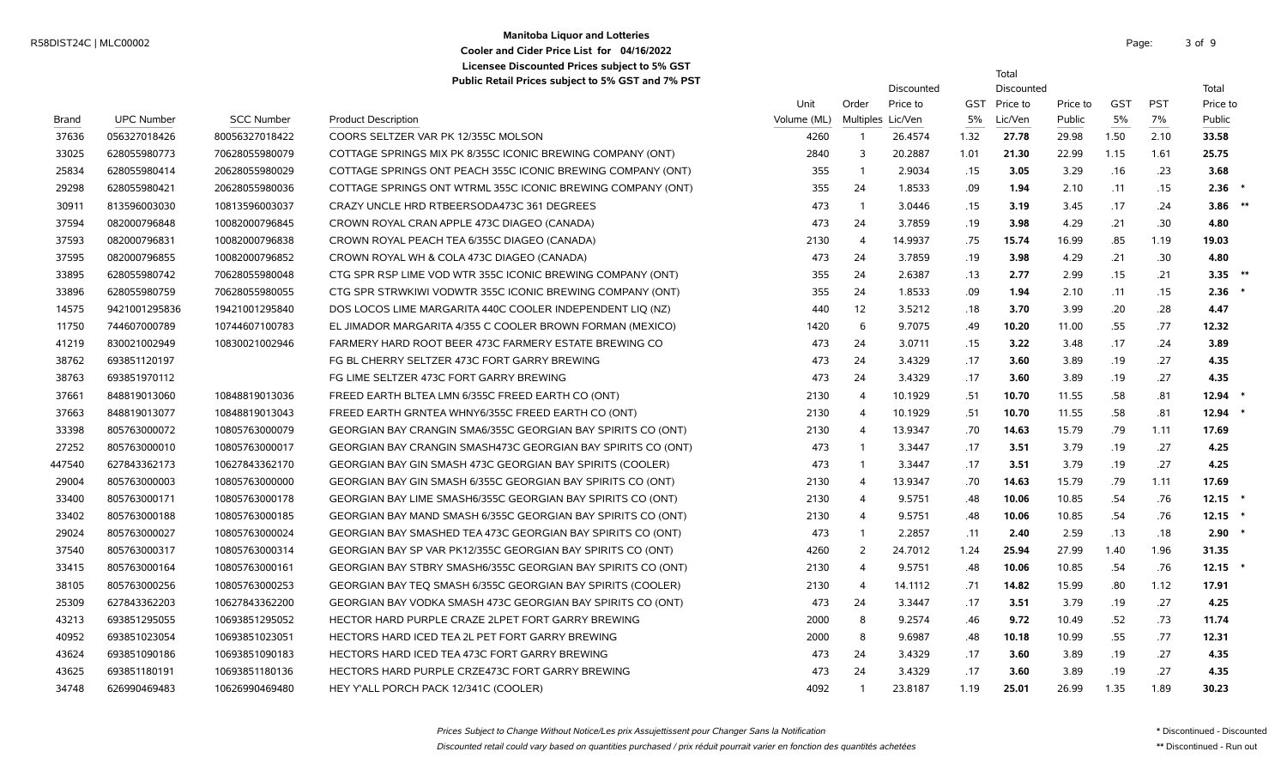# **Manitoba Liquor and Lotteries** R58DIST24C | MLC00002 Page: 3 of the state of the state of the state of the state of the state of the state of the state of the state of the state of the state of the state of the state of the state of the state of the sta **Cooler and Cider Price List for 04/16/2022 Licensee Discounted Prices subject to 5% GST**

Total

Discounted Discounted Total

|        |                   |                   |                                                              | Unit        | Order             | Price to | <b>GST</b> | Price to | Price to | <b>GST</b> | <b>PST</b> | Price to |  |
|--------|-------------------|-------------------|--------------------------------------------------------------|-------------|-------------------|----------|------------|----------|----------|------------|------------|----------|--|
| Brand  | <b>UPC Number</b> | <b>SCC Number</b> | <b>Product Description</b>                                   | Volume (ML) | Multiples Lic/Ven |          | 5%         | Lic/Ven  | Public   | 5%         | 7%         | Public   |  |
| 37636  | 056327018426      | 80056327018422    | COORS SELTZER VAR PK 12/355C MOLSON                          | 4260        | -1                | 26.4574  | 1.32       | 27.78    | 29.98    | 1.50       | 2.10       | 33.58    |  |
| 33025  | 628055980773      | 70628055980079    | COTTAGE SPRINGS MIX PK 8/355C ICONIC BREWING COMPANY (ONT)   | 2840        | 3                 | 20.2887  | 1.01       | 21.30    | 22.99    | 1.15       | 1.61       | 25.75    |  |
| 25834  | 628055980414      | 20628055980029    | COTTAGE SPRINGS ONT PEACH 355C ICONIC BREWING COMPANY (ONT)  | 355         | $\overline{1}$    | 2.9034   | .15        | 3.05     | 3.29     | .16        | .23        | 3.68     |  |
| 29298  | 628055980421      | 20628055980036    | COTTAGE SPRINGS ONT WTRML 355C ICONIC BREWING COMPANY (ONT)  | 355         | 24                | 1.8533   | .09        | 1.94     | 2.10     | .11        | .15        | 2.36     |  |
| 30911  | 813596003030      | 10813596003037    | CRAZY UNCLE HRD RTBEERSODA473C 361 DEGREES                   | 473         | $\overline{1}$    | 3.0446   | .15        | 3.19     | 3.45     | .17        | .24        | 3.86     |  |
| 37594  | 082000796848      | 10082000796845    | CROWN ROYAL CRAN APPLE 473C DIAGEO (CANADA)                  | 473         | 24                | 3.7859   | .19        | 3.98     | 4.29     | .21        | .30        | 4.80     |  |
| 37593  | 082000796831      | 10082000796838    | CROWN ROYAL PEACH TEA 6/355C DIAGEO (CANADA)                 | 2130        | $\overline{4}$    | 14.9937  | .75        | 15.74    | 16.99    | .85        | 1.19       | 19.03    |  |
| 37595  | 082000796855      | 10082000796852    | CROWN ROYAL WH & COLA 473C DIAGEO (CANADA)                   | 473         | 24                | 3.7859   | .19        | 3.98     | 4.29     | .21        | .30        | 4.80     |  |
| 33895  | 628055980742      | 70628055980048    | CTG SPR RSP LIME VOD WTR 355C ICONIC BREWING COMPANY (ONT)   | 355         | 24                | 2.6387   | .13        | 2.77     | 2.99     | .15        | .21        | $3.35$ * |  |
| 33896  | 628055980759      | 70628055980055    | CTG SPR STRWKIWI VODWTR 355C ICONIC BREWING COMPANY (ONT)    | 355         | 24                | 1.8533   | .09        | 1.94     | 2.10     | .11        | .15        | 2.36     |  |
| 14575  | 9421001295836     | 19421001295840    | DOS LOCOS LIME MARGARITA 440C COOLER INDEPENDENT LIQ (NZ)    | 440         | 12                | 3.5212   | .18        | 3.70     | 3.99     | .20        | .28        | 4.47     |  |
| 11750  | 744607000789      | 10744607100783    | EL JIMADOR MARGARITA 4/355 C COOLER BROWN FORMAN (MEXICO)    | 1420        | 6                 | 9.7075   | .49        | 10.20    | 11.00    | .55        | .77        | 12.32    |  |
| 41219  | 830021002949      | 10830021002946    | FARMERY HARD ROOT BEER 473C FARMERY ESTATE BREWING CO        | 473         | 24                | 3.0711   | .15        | 3.22     | 3.48     | .17        | .24        | 3.89     |  |
| 38762  | 693851120197      |                   | FG BL CHERRY SELTZER 473C FORT GARRY BREWING                 | 473         | 24                | 3.4329   | .17        | 3.60     | 3.89     | .19        | .27        | 4.35     |  |
| 38763  | 693851970112      |                   | FG LIME SELTZER 473C FORT GARRY BREWING                      | 473         | 24                | 3.4329   | .17        | 3.60     | 3.89     | .19        | .27        | 4.35     |  |
| 37661  | 848819013060      | 10848819013036    | FREED EARTH BLTEA LMN 6/355C FREED EARTH CO (ONT)            | 2130        | $\overline{4}$    | 10.1929  | .51        | 10.70    | 11.55    | .58        | .81        | 12.94    |  |
| 37663  | 848819013077      | 10848819013043    | FREED EARTH GRNTEA WHNY6/355C FREED EARTH CO (ONT)           | 2130        | $\overline{4}$    | 10.1929  | .51        | 10.70    | 11.55    | .58        | .81        | 12.94    |  |
| 33398  | 805763000072      | 10805763000079    | GEORGIAN BAY CRANGIN SMA6/355C GEORGIAN BAY SPIRITS CO (ONT) | 2130        | $\overline{4}$    | 13.9347  | .70        | 14.63    | 15.79    | .79        | 1.11       | 17.69    |  |
| 27252  | 805763000010      | 10805763000017    | GEORGIAN BAY CRANGIN SMASH473C GEORGIAN BAY SPIRITS CO (ONT) | 473         | $\overline{1}$    | 3.3447   | .17        | 3.51     | 3.79     | .19        | .27        | 4.25     |  |
| 447540 | 627843362173      | 10627843362170    | GEORGIAN BAY GIN SMASH 473C GEORGIAN BAY SPIRITS (COOLER)    | 473         | $\overline{1}$    | 3.3447   | .17        | 3.51     | 3.79     | .19        | .27        | 4.25     |  |
| 29004  | 805763000003      | 10805763000000    | GEORGIAN BAY GIN SMASH 6/355C GEORGIAN BAY SPIRITS CO (ONT)  | 2130        | $\overline{4}$    | 13.9347  | .70        | 14.63    | 15.79    | .79        | 1.11       | 17.69    |  |
| 33400  | 805763000171      | 10805763000178    | GEORGIAN BAY LIME SMASH6/355C GEORGIAN BAY SPIRITS CO (ONT)  | 2130        | $\overline{4}$    | 9.5751   | .48        | 10.06    | 10.85    | .54        | .76        | 12.15    |  |
| 33402  | 805763000188      | 10805763000185    | GEORGIAN BAY MAND SMASH 6/355C GEORGIAN BAY SPIRITS CO (ONT) | 2130        | $\overline{4}$    | 9.5751   | .48        | 10.06    | 10.85    | .54        | .76        | 12.15    |  |
| 29024  | 805763000027      | 10805763000024    | GEORGIAN BAY SMASHED TEA 473C GEORGIAN BAY SPIRITS CO (ONT)  | 473         | $\overline{1}$    | 2.2857   | .11        | 2.40     | 2.59     | .13        | .18        | 2.90     |  |
| 37540  | 805763000317      | 10805763000314    | GEORGIAN BAY SP VAR PK12/355C GEORGIAN BAY SPIRITS CO (ONT)  | 4260        | 2                 | 24.7012  | 1.24       | 25.94    | 27.99    | 1.40       | 1.96       | 31.35    |  |
| 33415  | 805763000164      | 10805763000161    | GEORGIAN BAY STBRY SMASH6/355C GEORGIAN BAY SPIRITS CO (ONT) | 2130        | $\overline{4}$    | 9.5751   | .48        | 10.06    | 10.85    | .54        | .76        | 12.15    |  |
| 38105  | 805763000256      | 10805763000253    | GEORGIAN BAY TEQ SMASH 6/355C GEORGIAN BAY SPIRITS (COOLER)  | 2130        | $\overline{4}$    | 14.1112  | .71        | 14.82    | 15.99    | .80        | 1.12       | 17.91    |  |
| 25309  | 627843362203      | 10627843362200    | GEORGIAN BAY VODKA SMASH 473C GEORGIAN BAY SPIRITS CO (ONT)  | 473         | 24                | 3.3447   | .17        | 3.51     | 3.79     | .19        | .27        | 4.25     |  |
| 43213  | 693851295055      | 10693851295052    | HECTOR HARD PURPLE CRAZE 2LPET FORT GARRY BREWING            | 2000        | 8                 | 9.2574   | .46        | 9.72     | 10.49    | .52        | .73        | 11.74    |  |
| 40952  | 693851023054      | 10693851023051    | HECTORS HARD ICED TEA 2L PET FORT GARRY BREWING              | 2000        | 8                 | 9.6987   | .48        | 10.18    | 10.99    | .55        | .77        | 12.31    |  |
| 43624  | 693851090186      | 10693851090183    | HECTORS HARD ICED TEA 473C FORT GARRY BREWING                | 473         | 24                | 3.4329   | .17        | 3.60     | 3.89     | .19        | .27        | 4.35     |  |
| 43625  | 693851180191      | 10693851180136    | HECTORS HARD PURPLE CRZE473C FORT GARRY BREWING              | 473         | 24                | 3.4329   | .17        | 3.60     | 3.89     | .19        | .27        | 4.35     |  |
| 34748  | 626990469483      | 10626990469480    | HEY Y'ALL PORCH PACK 12/341C (COOLER)                        | 4092        | -1                | 23.8187  | 1.19       | 25.01    | 26.99    | 1.35       | 1.89       | 30.23    |  |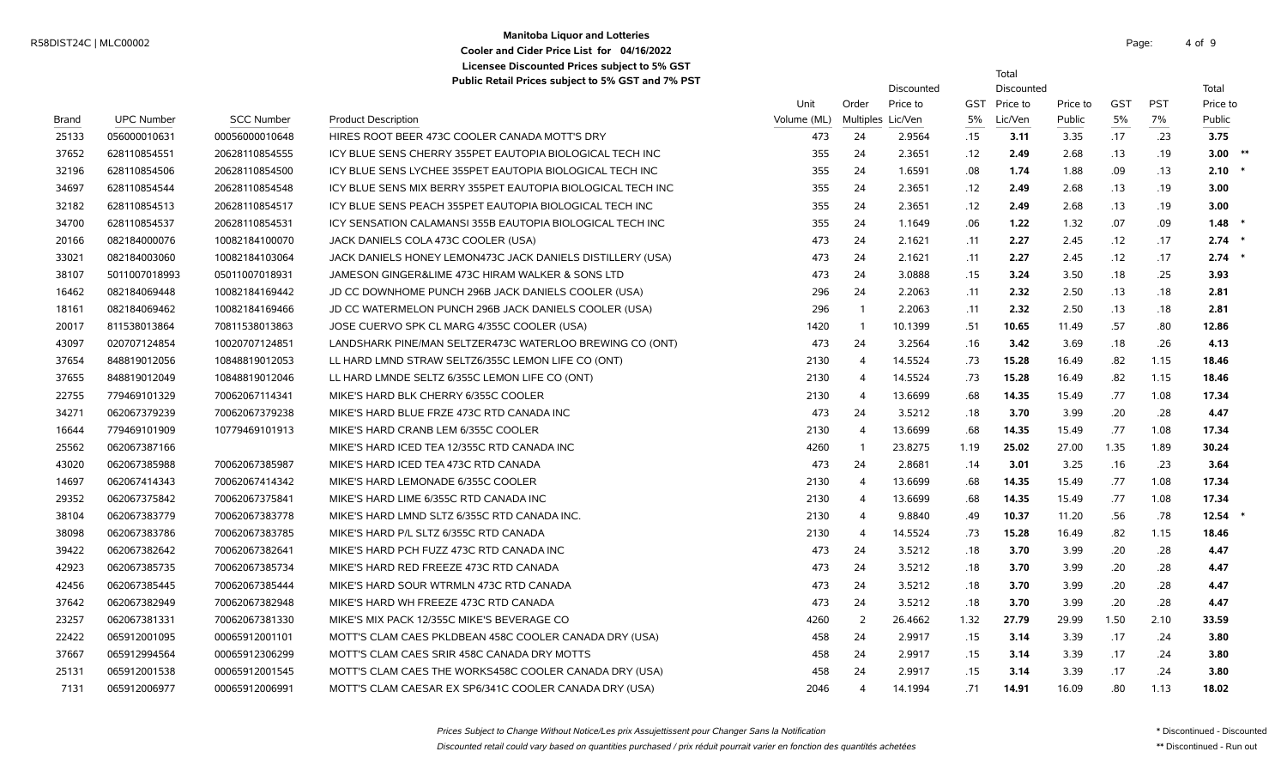# **Manitoba Liquor and Lotteries** R58DIST24C | MLC00002 Page: 4 of the contract of the contract of the contract of the contract of the contract of the contract of the contract of the contract of the contract of the contract of the contract of the contract **Cooler and Cider Price List for 04/16/2022 Licensee Discounted Prices subject to 5% GST**

Total

|       |                   |                   |                                                             |             |                | Discounted        |      | Discounted |          |            |            | Total       |
|-------|-------------------|-------------------|-------------------------------------------------------------|-------------|----------------|-------------------|------|------------|----------|------------|------------|-------------|
|       |                   |                   |                                                             | Unit        | Order          | Price to          | GST  | Price to   | Price to | <b>GST</b> | <b>PST</b> | Price to    |
| Brand | <b>UPC Number</b> | <b>SCC Number</b> | <b>Product Description</b>                                  | Volume (ML) |                | Multiples Lic/Ven | 5%   | Lic/Ven    | Public   | 5%         | 7%         | Public      |
| 25133 | 056000010631      | 00056000010648    | HIRES ROOT BEER 473C COOLER CANADA MOTT'S DRY               | 473         | 24             | 2.9564            | .15  | 3.11       | 3.35     | .17        | .23        | 3.75        |
| 37652 | 628110854551      | 20628110854555    | ICY BLUE SENS CHERRY 355PET EAUTOPIA BIOLOGICAL TECH INC    | 355         | 24             | 2.3651            | .12  | 2.49       | 2.68     | .13        | .19        | $3.00$ $*$  |
| 32196 | 628110854506      | 20628110854500    | ICY BLUE SENS LYCHEE 355PET EAUTOPIA BIOLOGICAL TECH INC    | 355         | 24             | 1.6591            | .08  | 1.74       | 1.88     | .09        | .13        | $2.10$ *    |
| 34697 | 628110854544      | 20628110854548    | ICY BLUE SENS MIX BERRY 355PET EAUTOPIA BIOLOGICAL TECH INC | 355         | 24             | 2.3651            | .12  | 2.49       | 2.68     | .13        | .19        | 3.00        |
| 32182 | 628110854513      | 20628110854517    | ICY BLUE SENS PEACH 355PET EAUTOPIA BIOLOGICAL TECH INC     | 355         | 24             | 2.3651            | .12  | 2.49       | 2.68     | .13        | .19        | 3.00        |
| 34700 | 628110854537      | 20628110854531    | ICY SENSATION CALAMANSI 355B EAUTOPIA BIOLOGICAL TECH INC   | 355         | 24             | 1.1649            | .06  | 1.22       | 1.32     | .07        | .09        | 1.48        |
| 20166 | 082184000076      | 10082184100070    | JACK DANIELS COLA 473C COOLER (USA)                         | 473         | 24             | 2.1621            | .11  | 2.27       | 2.45     | .12        | .17        | 2.74        |
| 33021 | 082184003060      | 10082184103064    | JACK DANIELS HONEY LEMON473C JACK DANIELS DISTILLERY (USA)  | 473         | 24             | 2.1621            | .11  | 2.27       | 2.45     | .12        | .17        | $2.74$ *    |
| 38107 | 5011007018993     | 05011007018931    | JAMESON GINGER&LIME 473C HIRAM WALKER & SONS LTD            | 473         | 24             | 3.0888            | .15  | 3.24       | 3.50     | .18        | .25        | 3.93        |
| 16462 | 082184069448      | 10082184169442    | JD CC DOWNHOME PUNCH 296B JACK DANIELS COOLER (USA)         | 296         | 24             | 2.2063            | .11  | 2.32       | 2.50     | .13        | .18        | 2.81        |
| 18161 | 082184069462      | 10082184169466    | JD CC WATERMELON PUNCH 296B JACK DANIELS COOLER (USA)       | 296         | $\overline{1}$ | 2.2063            | .11  | 2.32       | 2.50     | .13        | .18        | 2.81        |
| 20017 | 811538013864      | 70811538013863    | JOSE CUERVO SPK CL MARG 4/355C COOLER (USA)                 | 1420        | $\overline{1}$ | 10.1399           | .51  | 10.65      | 11.49    | .57        | .80        | 12.86       |
| 43097 | 020707124854      | 10020707124851    | LANDSHARK PINE/MAN SELTZER473C WATERLOO BREWING CO (ONT)    | 473         | 24             | 3.2564            | .16  | 3.42       | 3.69     | .18        | .26        | 4.13        |
| 37654 | 848819012056      | 10848819012053    | LL HARD LMND STRAW SELTZ6/355C LEMON LIFE CO (ONT)          | 2130        | $\overline{4}$ | 14.5524           | .73  | 15.28      | 16.49    | .82        | 1.15       | 18.46       |
| 37655 | 848819012049      | 10848819012046    | LL HARD LMNDE SELTZ 6/355C LEMON LIFE CO (ONT)              | 2130        | $\overline{4}$ | 14.5524           | .73  | 15.28      | 16.49    | .82        | 1.15       | 18.46       |
| 22755 | 779469101329      | 70062067114341    | MIKE'S HARD BLK CHERRY 6/355C COOLER                        | 2130        | $\overline{4}$ | 13.6699           | .68  | 14.35      | 15.49    | .77        | 1.08       | 17.34       |
| 34271 | 062067379239      | 70062067379238    | MIKE'S HARD BLUE FRZE 473C RTD CANADA INC                   | 473         | 24             | 3.5212            | .18  | 3.70       | 3.99     | .20        | .28        | 4.47        |
| 16644 | 779469101909      | 10779469101913    | MIKE'S HARD CRANB LEM 6/355C COOLER                         | 2130        | $\overline{4}$ | 13.6699           | .68  | 14.35      | 15.49    | .77        | 1.08       | 17.34       |
| 25562 | 062067387166      |                   | MIKE'S HARD ICED TEA 12/355C RTD CANADA INC                 | 4260        | $\overline{1}$ | 23.8275           | 1.19 | 25.02      | 27.00    | 1.35       | 1.89       | 30.24       |
| 43020 | 062067385988      | 70062067385987    | MIKE'S HARD ICED TEA 473C RTD CANADA                        | 473         | 24             | 2.8681            | .14  | 3.01       | 3.25     | .16        | .23        | 3.64        |
| 14697 | 062067414343      | 70062067414342    | MIKE'S HARD LEMONADE 6/355C COOLER                          | 2130        | $\overline{4}$ | 13.6699           | .68  | 14.35      | 15.49    | .77        | 1.08       | 17.34       |
| 29352 | 062067375842      | 70062067375841    | MIKE'S HARD LIME 6/355C RTD CANADA INC                      | 2130        | $\overline{4}$ | 13.6699           | .68  | 14.35      | 15.49    | .77        | 1.08       | 17.34       |
| 38104 | 062067383779      | 70062067383778    | MIKE'S HARD LMND SLTZ 6/355C RTD CANADA INC.                | 2130        | $\overline{4}$ | 9.8840            | .49  | 10.37      | 11.20    | .56        | .78        | $12.54$ $*$ |
| 38098 | 062067383786      | 70062067383785    | MIKE'S HARD P/L SLTZ 6/355C RTD CANADA                      | 2130        | $\overline{4}$ | 14.5524           | .73  | 15.28      | 16.49    | .82        | 1.15       | 18.46       |
| 39422 | 062067382642      | 70062067382641    | MIKE'S HARD PCH FUZZ 473C RTD CANADA INC                    | 473         | 24             | 3.5212            | .18  | 3.70       | 3.99     | .20        | .28        | 4.47        |
| 42923 | 062067385735      | 70062067385734    | MIKE'S HARD RED FREEZE 473C RTD CANADA                      | 473         | 24             | 3.5212            | .18  | 3.70       | 3.99     | .20        | .28        | 4.47        |
| 42456 | 062067385445      | 70062067385444    | MIKE'S HARD SOUR WTRMLN 473C RTD CANADA                     | 473         | 24             | 3.5212            | .18  | 3.70       | 3.99     | .20        | .28        | 4.47        |
| 37642 | 062067382949      | 70062067382948    | MIKE'S HARD WH FREEZE 473C RTD CANADA                       | 473         | 24             | 3.5212            | .18  | 3.70       | 3.99     | .20        | .28        | 4.47        |
| 23257 | 062067381331      | 70062067381330    | MIKE'S MIX PACK 12/355C MIKE'S BEVERAGE CO                  | 4260        | 2              | 26.4662           | 1.32 | 27.79      | 29.99    | 1.50       | 2.10       | 33.59       |
| 22422 | 065912001095      | 00065912001101    | MOTT'S CLAM CAES PKLDBEAN 458C COOLER CANADA DRY (USA)      | 458         | 24             | 2.9917            | .15  | 3.14       | 3.39     | .17        | .24        | 3.80        |
| 37667 | 065912994564      | 00065912306299    | MOTT'S CLAM CAES SRIR 458C CANADA DRY MOTTS                 | 458         | 24             | 2.9917            | .15  | 3.14       | 3.39     | .17        | .24        | 3.80        |
| 25131 | 065912001538      | 00065912001545    | MOTT'S CLAM CAES THE WORKS458C COOLER CANADA DRY (USA)      | 458         | 24             | 2.9917            | .15  | 3.14       | 3.39     | .17        | .24        | 3.80        |
| 7131  | 065912006977      | 00065912006991    | MOTT'S CLAM CAESAR EX SP6/341C COOLER CANADA DRY (USA)      | 2046        | $\overline{4}$ | 14.1994           | .71  | 14.91      | 16.09    | .80        | 1.13       | 18.02       |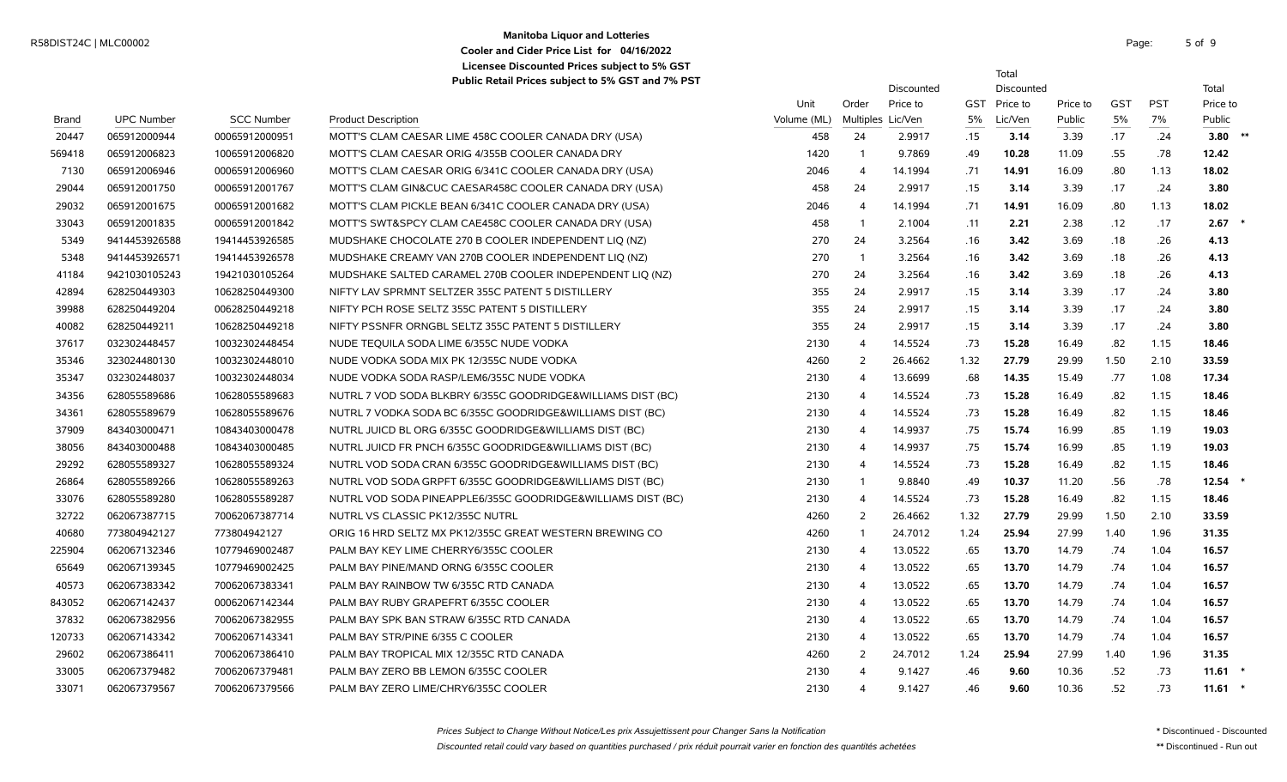# **Manitoba Liquor and Lotteries** R58DIST24C | MLC00002 Page: 5 of the state of the state of the state of the state of the state of the state of the state of the state of the state of the state of the state of the state of the state of the state of the sta **Cooler and Cider Price List for 04/16/2022 Licensee Discounted Prices subject to 5% GST**

5 of 9

Total

**Public Retail Prices subject to 5% GST and 7% PST**

|        |                   |                   | $\alpha$ above retain Fires subject to 3% GST and 7% FST    |             |                   | Discounted |      | Discounted |          |            |            | Total     |
|--------|-------------------|-------------------|-------------------------------------------------------------|-------------|-------------------|------------|------|------------|----------|------------|------------|-----------|
|        |                   |                   |                                                             | Unit        | Order             | Price to   | GST  | Price to   | Price to | <b>GST</b> | <b>PST</b> | Price to  |
| Brand  | <b>UPC Number</b> | <b>SCC Number</b> | <b>Product Description</b>                                  | Volume (ML) | Multiples Lic/Ven |            | 5%   | Lic/Ven    | Public   | 5%         | 7%         | Public    |
| 20447  | 065912000944      | 00065912000951    | MOTT'S CLAM CAESAR LIME 458C COOLER CANADA DRY (USA)        | 458         | 24                | 2.9917     | .15  | 3.14       | 3.39     | .17        | .24        | 3.80 $*$  |
| 569418 | 065912006823      | 10065912006820    | MOTT'S CLAM CAESAR ORIG 4/355B COOLER CANADA DRY            | 1420        | $\mathbf{1}$      | 9.7869     | .49  | 10.28      | 11.09    | .55        | .78        | 12.42     |
| 7130   | 065912006946      | 00065912006960    | MOTT'S CLAM CAESAR ORIG 6/341C COOLER CANADA DRY (USA)      | 2046        | $\overline{4}$    | 14.1994    | .71  | 14.91      | 16.09    | .80        | 1.13       | 18.02     |
| 29044  | 065912001750      | 00065912001767    | MOTT'S CLAM GIN&CUC CAESAR458C COOLER CANADA DRY (USA)      | 458         | 24                | 2.9917     | .15  | 3.14       | 3.39     | .17        | .24        | 3.80      |
| 29032  | 065912001675      | 00065912001682    | MOTT'S CLAM PICKLE BEAN 6/341C COOLER CANADA DRY (USA)      | 2046        | $\overline{4}$    | 14.1994    | .71  | 14.91      | 16.09    | .80        | 1.13       | 18.02     |
| 33043  | 065912001835      | 00065912001842    | MOTT'S SWT&SPCY CLAM CAE458C COOLER CANADA DRY (USA)        | 458         | $\overline{1}$    | 2.1004     | .11  | 2.21       | 2.38     | .12        | .17        | 2.67      |
| 5349   | 9414453926588     | 19414453926585    | MUDSHAKE CHOCOLATE 270 B COOLER INDEPENDENT LIQ (NZ)        | 270         | 24                | 3.2564     | .16  | 3.42       | 3.69     | .18        | .26        | 4.13      |
| 5348   | 9414453926571     | 19414453926578    | MUDSHAKE CREAMY VAN 270B COOLER INDEPENDENT LIO (NZ)        | 270         | $\overline{1}$    | 3.2564     | .16  | 3.42       | 3.69     | .18        | .26        | 4.13      |
| 41184  | 9421030105243     | 19421030105264    | MUDSHAKE SALTED CARAMEL 270B COOLER INDEPENDENT LIQ (NZ)    | 270         | 24                | 3.2564     | .16  | 3.42       | 3.69     | .18        | .26        | 4.13      |
| 42894  | 628250449303      | 10628250449300    | NIFTY LAV SPRMNT SELTZER 355C PATENT 5 DISTILLERY           | 355         | 24                | 2.9917     | .15  | 3.14       | 3.39     | .17        | .24        | 3.80      |
| 39988  | 628250449204      | 00628250449218    | NIFTY PCH ROSE SELTZ 355C PATENT 5 DISTILLERY               | 355         | 24                | 2.9917     | .15  | 3.14       | 3.39     | .17        | .24        | 3.80      |
| 40082  | 628250449211      | 10628250449218    | NIFTY PSSNFR ORNGBL SELTZ 355C PATENT 5 DISTILLERY          | 355         | 24                | 2.9917     | .15  | 3.14       | 3.39     | .17        | .24        | 3.80      |
| 37617  | 032302448457      | 10032302448454    | NUDE TEQUILA SODA LIME 6/355C NUDE VODKA                    | 2130        | $\overline{4}$    | 14.5524    | .73  | 15.28      | 16.49    | .82        | 1.15       | 18.46     |
| 35346  | 323024480130      | 10032302448010    | NUDE VODKA SODA MIX PK 12/355C NUDE VODKA                   | 4260        | 2                 | 26.4662    | 1.32 | 27.79      | 29.99    | 1.50       | 2.10       | 33.59     |
| 35347  | 032302448037      | 10032302448034    | NUDE VODKA SODA RASP/LEM6/355C NUDE VODKA                   | 2130        | $\overline{4}$    | 13.6699    | .68  | 14.35      | 15.49    | .77        | 1.08       | 17.34     |
| 34356  | 628055589686      | 10628055589683    | NUTRL 7 VOD SODA BLKBRY 6/355C GOODRIDGE&WILLIAMS DIST (BC) | 2130        | 4                 | 14.5524    | .73  | 15.28      | 16.49    | .82        | 1.15       | 18.46     |
| 34361  | 628055589679      | 10628055589676    | NUTRL 7 VODKA SODA BC 6/355C GOODRIDGE&WILLIAMS DIST (BC)   | 2130        | $\overline{4}$    | 14.5524    | .73  | 15.28      | 16.49    | .82        | 1.15       | 18.46     |
| 37909  | 843403000471      | 10843403000478    | NUTRL JUICD BL ORG 6/355C GOODRIDGE&WILLIAMS DIST (BC)      | 2130        | $\overline{4}$    | 14.9937    | .75  | 15.74      | 16.99    | .85        | 1.19       | 19.03     |
| 38056  | 843403000488      | 10843403000485    | NUTRL JUICD FR PNCH 6/355C GOODRIDGE&WILLIAMS DIST (BC)     | 2130        | 4                 | 14.9937    | .75  | 15.74      | 16.99    | .85        | 1.19       | 19.03     |
| 29292  | 628055589327      | 10628055589324    | NUTRL VOD SODA CRAN 6/355C GOODRIDGE&WILLIAMS DIST (BC)     | 2130        | 4                 | 14.5524    | .73  | 15.28      | 16.49    | .82        | 1.15       | 18.46     |
| 26864  | 628055589266      | 10628055589263    | NUTRL VOD SODA GRPFT 6/355C GOODRIDGE&WILLIAMS DIST (BC)    | 2130        | $\mathbf{1}$      | 9.8840     | .49  | 10.37      | 11.20    | .56        | .78        | 12.54     |
| 33076  | 628055589280      | 10628055589287    | NUTRL VOD SODA PINEAPPLE6/355C GOODRIDGE&WILLIAMS DIST (BC) | 2130        | 4                 | 14.5524    | .73  | 15.28      | 16.49    | .82        | 1.15       | 18.46     |
| 32722  | 062067387715      | 70062067387714    | NUTRL VS CLASSIC PK12/355C NUTRL                            | 4260        | 2                 | 26.4662    | 1.32 | 27.79      | 29.99    | 1.50       | 2.10       | 33.59     |
| 40680  | 773804942127      | 773804942127      | ORIG 16 HRD SELTZ MX PK12/355C GREAT WESTERN BREWING CO     | 4260        | $\overline{1}$    | 24.7012    | 1.24 | 25.94      | 27.99    | 1.40       | 1.96       | 31.35     |
| 225904 | 062067132346      | 10779469002487    | PALM BAY KEY LIME CHERRY6/355C COOLER                       | 2130        | $\overline{4}$    | 13.0522    | .65  | 13.70      | 14.79    | .74        | 1.04       | 16.57     |
| 65649  | 062067139345      | 10779469002425    | PALM BAY PINE/MAND ORNG 6/355C COOLER                       | 2130        | $\overline{4}$    | 13.0522    | .65  | 13.70      | 14.79    | .74        | 1.04       | 16.57     |
| 40573  | 062067383342      | 70062067383341    | PALM BAY RAINBOW TW 6/355C RTD CANADA                       | 2130        | $\overline{4}$    | 13.0522    | .65  | 13.70      | 14.79    | .74        | 1.04       | 16.57     |
| 843052 | 062067142437      | 00062067142344    | PALM BAY RUBY GRAPEFRT 6/355C COOLER                        | 2130        | $\overline{4}$    | 13.0522    | .65  | 13.70      | 14.79    | .74        | 1.04       | 16.57     |
| 37832  | 062067382956      | 70062067382955    | PALM BAY SPK BAN STRAW 6/355C RTD CANADA                    | 2130        | $\overline{4}$    | 13.0522    | .65  | 13.70      | 14.79    | .74        | 1.04       | 16.57     |
| 120733 | 062067143342      | 70062067143341    | PALM BAY STR/PINE 6/355 C COOLER                            | 2130        | $\overline{4}$    | 13.0522    | .65  | 13.70      | 14.79    | .74        | 1.04       | 16.57     |
| 29602  | 062067386411      | 70062067386410    | PALM BAY TROPICAL MIX 12/355C RTD CANADA                    | 4260        | 2                 | 24.7012    | 1.24 | 25.94      | 27.99    | 1.40       | 1.96       | 31.35     |
| 33005  | 062067379482      | 70062067379481    | PALM BAY ZERO BB LEMON 6/355C COOLER                        | 2130        | 4                 | 9.1427     | .46  | 9.60       | 10.36    | .52        | .73        | $11.61$ * |
| 33071  | 062067379567      | 70062067379566    | PALM BAY ZERO LIME/CHRY6/355C COOLER                        | 2130        | 4                 | 9.1427     | .46  | 9.60       | 10.36    | .52        | .73        | $11.61$ * |

Prices Subject to Change Without Notice/Les prix Assujettissent pour Changer Sans la Notification \* Discontinued - Discounted \* Discounted \* Discounted \* Discounted

Discounted retail could vary based on quantities purchased / prix réduit pourrait varier en fonction des quantités achetées \*\* Discontinued - Run out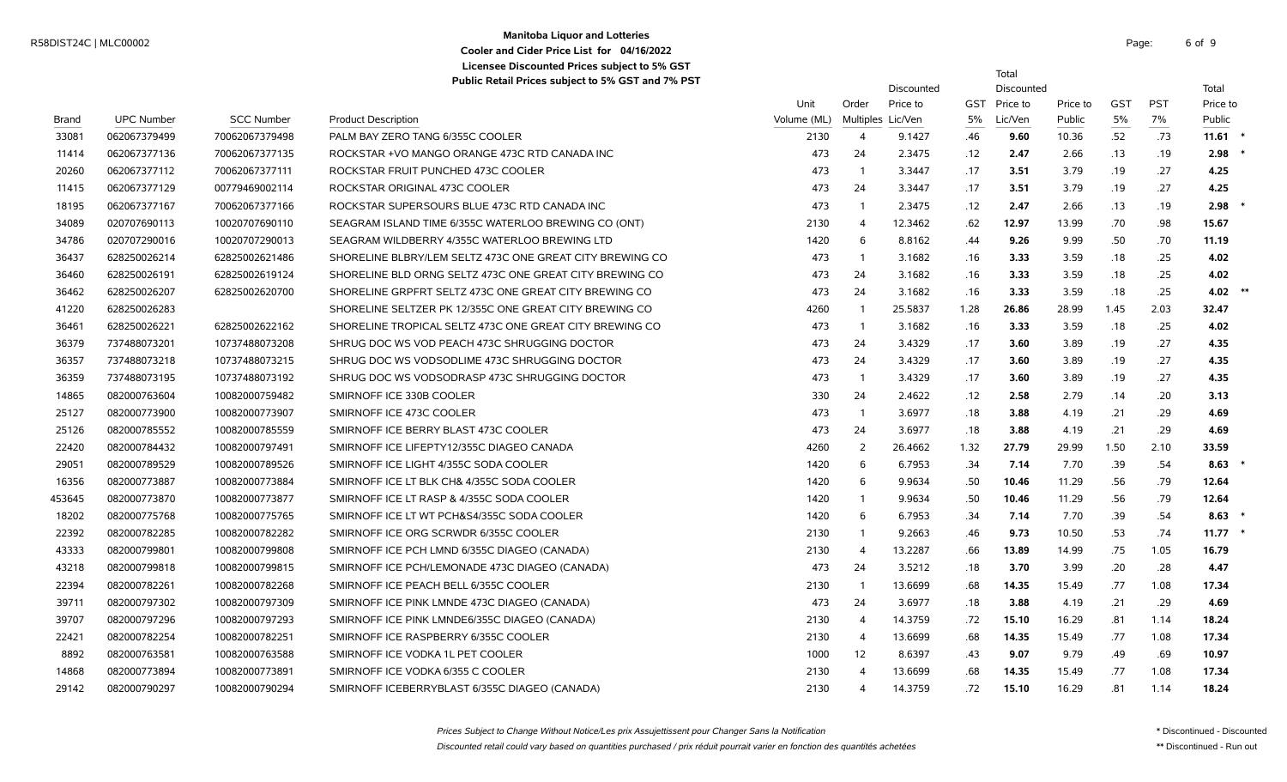### **Manitoba Liquor and Lotteries** Manhoba Enquirant Duteries<br>
Casher and Court Drive List for 04/16/2022 **Cooler and Cider Price List for 04/16/2022 Licensee Discounted Prices subject to 5% GST**

6 of 9

Total

**Public Retail Prices subject to 5% GST and 7% PST**

|        |                   |                   |                                                          |             | Discounted     |                   |      |              | Discounted |            |            | Total     |  |
|--------|-------------------|-------------------|----------------------------------------------------------|-------------|----------------|-------------------|------|--------------|------------|------------|------------|-----------|--|
|        |                   |                   |                                                          | Unit        | Order          | Price to          |      | GST Price to | Price to   | <b>GST</b> | <b>PST</b> | Price to  |  |
| Brand  | <b>UPC Number</b> | <b>SCC Number</b> | <b>Product Description</b>                               | Volume (ML) |                | Multiples Lic/Ven | 5%   | Lic/Ven      | Public     | 5%         | $7\%$      | Public    |  |
| 33081  | 062067379499      | 70062067379498    | PALM BAY ZERO TANG 6/355C COOLER                         | 2130        | $\overline{4}$ | 9.1427            | .46  | 9.60         | 10.36      | .52        | .73        | $11.61$ * |  |
| 11414  | 062067377136      | 70062067377135    | ROCKSTAR + VO MANGO ORANGE 473C RTD CANADA INC           | 473         | 24             | 2.3475            | .12  | 2.47         | 2.66       | .13        | .19        | $2.98$ *  |  |
| 20260  | 062067377112      | 70062067377111    | ROCKSTAR FRUIT PUNCHED 473C COOLER                       | 473         | $\overline{1}$ | 3.3447            | .17  | 3.51         | 3.79       | .19        | .27        | 4.25      |  |
| 11415  | 062067377129      | 00779469002114    | ROCKSTAR ORIGINAL 473C COOLER                            | 473         | 24             | 3.3447            | .17  | 3.51         | 3.79       | .19        | .27        | 4.25      |  |
| 18195  | 062067377167      | 70062067377166    | ROCKSTAR SUPERSOURS BLUE 473C RTD CANADA INC             | 473         | $\overline{1}$ | 2.3475            | .12  | 2.47         | 2.66       | .13        | .19        | 2.98      |  |
| 34089  | 020707690113      | 10020707690110    | SEAGRAM ISLAND TIME 6/355C WATERLOO BREWING CO (ONT)     | 2130        | $\overline{4}$ | 12.3462           | .62  | 12.97        | 13.99      | .70        | .98        | 15.67     |  |
| 34786  | 020707290016      | 10020707290013    | SEAGRAM WILDBERRY 4/355C WATERLOO BREWING LTD            | 1420        | 6              | 8.8162            | .44  | 9.26         | 9.99       | .50        | .70        | 11.19     |  |
| 36437  | 628250026214      | 62825002621486    | SHORELINE BLBRY/LEM SELTZ 473C ONE GREAT CITY BREWING CO | 473         | $\overline{1}$ | 3.1682            | .16  | 3.33         | 3.59       | .18        | .25        | 4.02      |  |
| 36460  | 628250026191      | 62825002619124    | SHORELINE BLD ORNG SELTZ 473C ONE GREAT CITY BREWING CO  | 473         | 24             | 3.1682            | .16  | 3.33         | 3.59       | .18        | .25        | 4.02      |  |
| 36462  | 628250026207      | 62825002620700    | SHORELINE GRPFRT SELTZ 473C ONE GREAT CITY BREWING CO    | 473         | 24             | 3.1682            | .16  | 3.33         | 3.59       | .18        | .25        | 4.02 $**$ |  |
| 41220  | 628250026283      |                   | SHORELINE SELTZER PK 12/355C ONE GREAT CITY BREWING CO   | 4260        | $\overline{1}$ | 25.5837           | 1.28 | 26.86        | 28.99      | 1.45       | 2.03       | 32.47     |  |
| 36461  | 628250026221      | 62825002622162    | SHORELINE TROPICAL SELTZ 473C ONE GREAT CITY BREWING CO  | 473         | $\overline{1}$ | 3.1682            | .16  | 3.33         | 3.59       | .18        | .25        | 4.02      |  |
| 36379  | 737488073201      | 10737488073208    | SHRUG DOC WS VOD PEACH 473C SHRUGGING DOCTOR             | 473         | 24             | 3.4329            | .17  | 3.60         | 3.89       | .19        | .27        | 4.35      |  |
| 36357  | 737488073218      | 10737488073215    | SHRUG DOC WS VODSODLIME 473C SHRUGGING DOCTOR            | 473         | 24             | 3.4329            | .17  | 3.60         | 3.89       | .19        | .27        | 4.35      |  |
| 36359  | 737488073195      | 10737488073192    | SHRUG DOC WS VODSODRASP 473C SHRUGGING DOCTOR            | 473         | $\overline{1}$ | 3.4329            | .17  | 3.60         | 3.89       | .19        | .27        | 4.35      |  |
| 14865  | 082000763604      | 10082000759482    | SMIRNOFF ICE 330B COOLER                                 | 330         | 24             | 2.4622            | .12  | 2.58         | 2.79       | .14        | .20        | 3.13      |  |
| 25127  | 082000773900      | 10082000773907    | SMIRNOFF ICE 473C COOLER                                 | 473         | $\overline{1}$ | 3.6977            | .18  | 3.88         | 4.19       | .21        | .29        | 4.69      |  |
| 25126  | 082000785552      | 10082000785559    | SMIRNOFF ICE BERRY BLAST 473C COOLER                     | 473         | 24             | 3.6977            | .18  | 3.88         | 4.19       | .21        | .29        | 4.69      |  |
| 22420  | 082000784432      | 10082000797491    | SMIRNOFF ICE LIFEPTY12/355C DIAGEO CANADA                | 4260        | 2              | 26.4662           | 1.32 | 27.79        | 29.99      | 1.50       | 2.10       | 33.59     |  |
| 29051  | 082000789529      | 10082000789526    | SMIRNOFF ICE LIGHT 4/355C SODA COOLER                    | 1420        | 6              | 6.7953            | .34  | 7.14         | 7.70       | .39        | .54        | 8.63      |  |
| 16356  | 082000773887      | 10082000773884    | SMIRNOFF ICE LT BLK CH& 4/355C SODA COOLER               | 1420        | 6              | 9.9634            | .50  | 10.46        | 11.29      | .56        | .79        | 12.64     |  |
| 453645 | 082000773870      | 10082000773877    | SMIRNOFF ICE LT RASP & 4/355C SODA COOLER                | 1420        | $\overline{1}$ | 9.9634            | .50  | 10.46        | 11.29      | .56        | .79        | 12.64     |  |
| 18202  | 082000775768      | 10082000775765    | SMIRNOFF ICE LT WT PCH&S4/355C SODA COOLER               | 1420        | 6              | 6.7953            | .34  | 7.14         | 7.70       | .39        | .54        | $8.63*$   |  |
| 22392  | 082000782285      | 10082000782282    | SMIRNOFF ICE ORG SCRWDR 6/355C COOLER                    | 2130        | $\overline{1}$ | 9.2663            | .46  | 9.73         | 10.50      | .53        | .74        | $11.77$ * |  |
| 43333  | 082000799801      | 10082000799808    | SMIRNOFF ICE PCH LMND 6/355C DIAGEO (CANADA)             | 2130        | $\overline{4}$ | 13.2287           | .66  | 13.89        | 14.99      | .75        | 1.05       | 16.79     |  |
| 43218  | 082000799818      | 10082000799815    | SMIRNOFF ICE PCH/LEMONADE 473C DIAGEO (CANADA)           | 473         | 24             | 3.5212            | .18  | 3.70         | 3.99       | .20        | .28        | 4.47      |  |
| 22394  | 082000782261      | 10082000782268    | SMIRNOFF ICE PEACH BELL 6/355C COOLER                    | 2130        | $\overline{1}$ | 13.6699           | .68  | 14.35        | 15.49      | .77        | 1.08       | 17.34     |  |
| 39711  | 082000797302      | 10082000797309    | SMIRNOFF ICE PINK LMNDE 473C DIAGEO (CANADA)             | 473         | 24             | 3.6977            | .18  | 3.88         | 4.19       | .21        | .29        | 4.69      |  |
| 39707  | 082000797296      | 10082000797293    | SMIRNOFF ICE PINK LMNDE6/355C DIAGEO (CANADA)            | 2130        | $\overline{4}$ | 14.3759           | .72  | 15.10        | 16.29      | .81        | 1.14       | 18.24     |  |
| 22421  | 082000782254      | 10082000782251    | SMIRNOFF ICE RASPBERRY 6/355C COOLER                     | 2130        | $\overline{4}$ | 13.6699           | .68  | 14.35        | 15.49      | .77        | 1.08       | 17.34     |  |
| 8892   | 082000763581      | 10082000763588    | SMIRNOFF ICE VODKA 1L PET COOLER                         | 1000        | 12             | 8.6397            | .43  | 9.07         | 9.79       | .49        | .69        | 10.97     |  |
| 14868  | 082000773894      | 10082000773891    | SMIRNOFF ICE VODKA 6/355 C COOLER                        | 2130        | $\overline{4}$ | 13.6699           | .68  | 14.35        | 15.49      | .77        | 1.08       | 17.34     |  |
| 29142  | 082000790297      | 10082000790294    | SMIRNOFF ICEBERRYBLAST 6/355C DIAGEO (CANADA)            | 2130        | $\overline{4}$ | 14.3759           | .72  | 15.10        | 16.29      | .81        | 1.14       | 18.24     |  |

Discounted retail could vary based on quantities purchased / prix réduit pourrait varier en fonction des quantités achetées \*\* Discontinued - Run out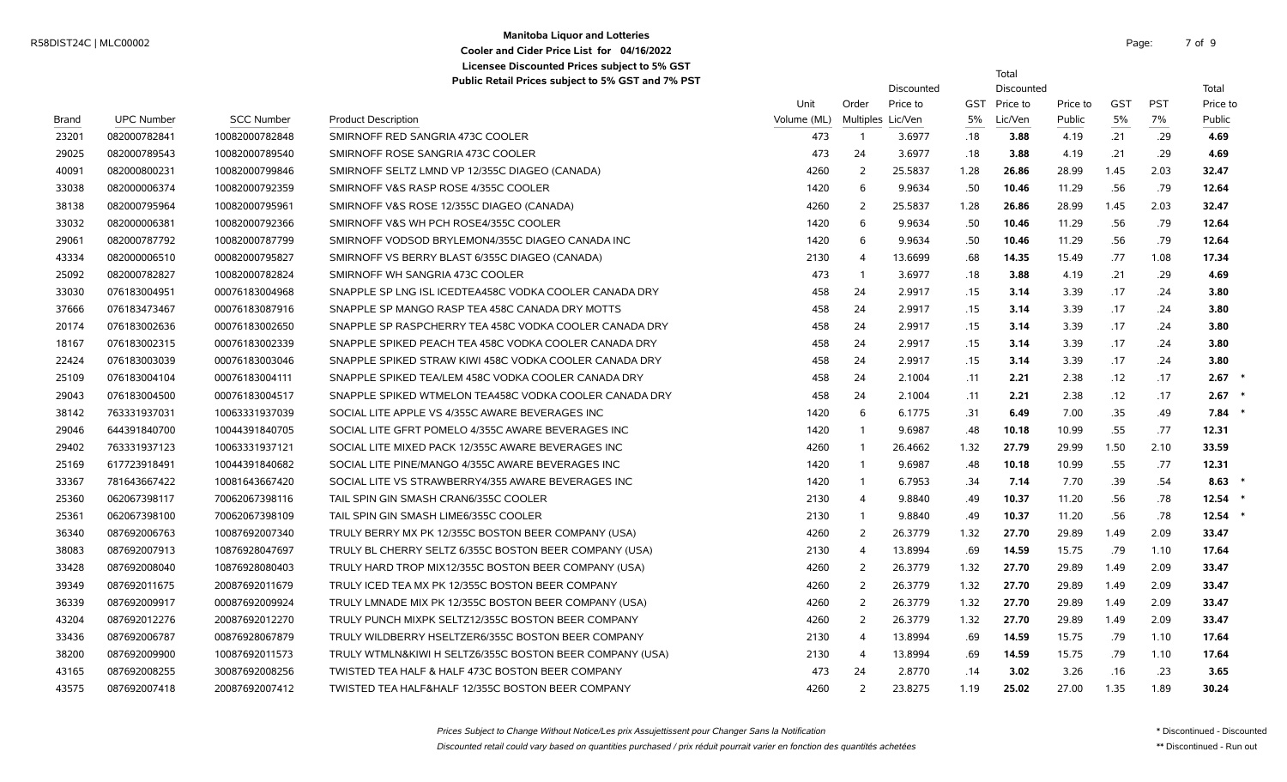### **Manitoba Liquor and Lotteries** R58DIST24C | MLC00002 Page: 7 of the contract of the contract of the contract of the contract of the contract of the contract of the contract of the contract of the contract of the contract of the contract of the contract **Cooler and Cider Price List for 04/16/2022 Licensee Discounted Prices subject to 5% GST**

7 of 9

Total

|              |                   |                   |                                                          |             |                         | Discounted        |      | Discounted   |          |            |            | Total    |
|--------------|-------------------|-------------------|----------------------------------------------------------|-------------|-------------------------|-------------------|------|--------------|----------|------------|------------|----------|
|              |                   |                   |                                                          | Unit        | Order                   | Price to          |      | GST Price to | Price to | <b>GST</b> | <b>PST</b> | Price to |
| <b>Brand</b> | <b>UPC Number</b> | <b>SCC Number</b> | <b>Product Description</b>                               | Volume (ML) |                         | Multiples Lic/Ven | 5%   | Lic/Ven      | Public   | $5\%$      | 7%         | Public   |
| 23201        | 082000782841      | 10082000782848    | SMIRNOFF RED SANGRIA 473C COOLER                         | 473         | - 1                     | 3.6977            | .18  | 3.88         | 4.19     | .21        | .29        | 4.69     |
| 29025        | 082000789543      | 10082000789540    | SMIRNOFF ROSE SANGRIA 473C COOLER                        | 473         | 24                      | 3.6977            | .18  | 3.88         | 4.19     | .21        | .29        | 4.69     |
| 40091        | 082000800231      | 10082000799846    | SMIRNOFF SELTZ LMND VP 12/355C DIAGEO (CANADA)           | 4260        | 2                       | 25.5837           | 1.28 | 26.86        | 28.99    | 1.45       | 2.03       | 32.47    |
| 33038        | 082000006374      | 10082000792359    | SMIRNOFF V&S RASP ROSE 4/355C COOLER                     | 1420        | 6                       | 9.9634            | .50  | 10.46        | 11.29    | .56        | .79        | 12.64    |
| 38138        | 082000795964      | 10082000795961    | SMIRNOFF V&S ROSE 12/355C DIAGEO (CANADA)                | 4260        | 2                       | 25.5837           | 1.28 | 26.86        | 28.99    | 1.45       | 2.03       | 32.47    |
| 33032        | 082000006381      | 10082000792366    | SMIRNOFF V&S WH PCH ROSE4/355C COOLER                    | 1420        | 6                       | 9.9634            | .50  | 10.46        | 11.29    | .56        | .79        | 12.64    |
| 29061        | 082000787792      | 10082000787799    | SMIRNOFF VODSOD BRYLEMON4/355C DIAGEO CANADA INC         | 1420        | 6                       | 9.9634            | .50  | 10.46        | 11.29    | .56        | .79        | 12.64    |
| 43334        | 082000006510      | 00082000795827    | SMIRNOFF VS BERRY BLAST 6/355C DIAGEO (CANADA)           | 2130        | $\overline{\mathbf{A}}$ | 13.6699           | .68  | 14.35        | 15.49    | .77        | 1.08       | 17.34    |
| 25092        | 082000782827      | 10082000782824    | SMIRNOFF WH SANGRIA 473C COOLER                          | 473         | $\mathbf{1}$            | 3.6977            | .18  | 3.88         | 4.19     | .21        | .29        | 4.69     |
| 33030        | 076183004951      | 00076183004968    | SNAPPLE SP LNG ISL ICEDTEA458C VODKA COOLER CANADA DRY   | 458         | 24                      | 2.9917            | .15  | 3.14         | 3.39     | .17        | .24        | 3.80     |
| 37666        | 076183473467      | 00076183087916    | SNAPPLE SP MANGO RASP TEA 458C CANADA DRY MOTTS          | 458         | 24                      | 2.9917            | .15  | 3.14         | 3.39     | .17        | .24        | 3.80     |
| 20174        | 076183002636      | 00076183002650    | SNAPPLE SP RASPCHERRY TEA 458C VODKA COOLER CANADA DRY   | 458         | 24                      | 2.9917            | .15  | 3.14         | 3.39     | .17        | .24        | 3.80     |
| 18167        | 076183002315      | 00076183002339    | SNAPPLE SPIKED PEACH TEA 458C VODKA COOLER CANADA DRY    | 458         | 24                      | 2.9917            | .15  | 3.14         | 3.39     | .17        | .24        | 3.80     |
| 22424        | 076183003039      | 00076183003046    | SNAPPLE SPIKED STRAW KIWI 458C VODKA COOLER CANADA DRY   | 458         | 24                      | 2.9917            | .15  | 3.14         | 3.39     | .17        | .24        | 3.80     |
| 25109        | 076183004104      | 00076183004111    | SNAPPLE SPIKED TEA/LEM 458C VODKA COOLER CANADA DRY      | 458         | 24                      | 2.1004            | .11  | 2.21         | 2.38     | .12        | .17        | 2.67     |
| 29043        | 076183004500      | 00076183004517    | SNAPPLE SPIKED WTMELON TEA458C VODKA COOLER CANADA DRY   | 458         | 24                      | 2.1004            | .11  | 2.21         | 2.38     | .12        | .17        | 2.67     |
| 38142        | 763331937031      | 10063331937039    | SOCIAL LITE APPLE VS 4/355C AWARE BEVERAGES INC          | 1420        | 6                       | 6.1775            | .31  | 6.49         | 7.00     | .35        | .49        | 7.84     |
| 29046        | 644391840700      | 10044391840705    | SOCIAL LITE GFRT POMELO 4/355C AWARE BEVERAGES INC       | 1420        |                         | 9.6987            | .48  | 10.18        | 10.99    | .55        | .77        | 12.31    |
| 29402        | 763331937123      | 10063331937121    | SOCIAL LITE MIXED PACK 12/355C AWARE BEVERAGES INC       | 4260        |                         | 26.4662           | 1.32 | 27.79        | 29.99    | 1.50       | 2.10       | 33.59    |
| 25169        | 617723918491      | 10044391840682    | SOCIAL LITE PINE/MANGO 4/355C AWARE BEVERAGES INC        | 1420        |                         | 9.6987            | .48  | 10.18        | 10.99    | .55        | .77        | 12.31    |
| 33367        | 781643667422      | 10081643667420    | SOCIAL LITE VS STRAWBERRY4/355 AWARE BEVERAGES INC       | 1420        | $\mathbf{1}$            | 6.7953            | .34  | 7.14         | 7.70     | .39        | .54        | 8.63     |
| 25360        | 062067398117      | 70062067398116    | TAIL SPIN GIN SMASH CRAN6/355C COOLER                    | 2130        | 4                       | 9.8840            | .49  | 10.37        | 11.20    | .56        | .78        | 12.54    |
| 25361        | 062067398100      | 70062067398109    | TAIL SPIN GIN SMASH LIME6/355C COOLER                    | 2130        | -1                      | 9.8840            | .49  | 10.37        | 11.20    | .56        | .78        | 12.54    |
| 36340        | 087692006763      | 10087692007340    | TRULY BERRY MX PK 12/355C BOSTON BEER COMPANY (USA)      | 4260        | 2                       | 26.3779           | 1.32 | 27.70        | 29.89    | 1.49       | 2.09       | 33.47    |
| 38083        | 087692007913      | 10876928047697    | TRULY BL CHERRY SELTZ 6/355C BOSTON BEER COMPANY (USA)   | 2130        | $\overline{4}$          | 13.8994           | .69  | 14.59        | 15.75    | .79        | 1.10       | 17.64    |
| 33428        | 087692008040      | 10876928080403    | TRULY HARD TROP MIX12/355C BOSTON BEER COMPANY (USA)     | 4260        | 2                       | 26.3779           | 1.32 | 27.70        | 29.89    | 1.49       | 2.09       | 33.47    |
| 39349        | 087692011675      | 20087692011679    | TRULY ICED TEA MX PK 12/355C BOSTON BEER COMPANY         | 4260        | 2                       | 26.3779           | 1.32 | 27.70        | 29.89    | 1.49       | 2.09       | 33.47    |
| 36339        | 087692009917      | 00087692009924    | TRULY LMNADE MIX PK 12/355C BOSTON BEER COMPANY (USA)    | 4260        | 2                       | 26.3779           | 1.32 | 27.70        | 29.89    | 1.49       | 2.09       | 33.47    |
| 43204        | 087692012276      | 20087692012270    | TRULY PUNCH MIXPK SELTZ12/355C BOSTON BEER COMPANY       | 4260        | 2                       | 26.3779           | 1.32 | 27.70        | 29.89    | 1.49       | 2.09       | 33.47    |
| 33436        | 087692006787      | 00876928067879    | TRULY WILDBERRY HSELTZER6/355C BOSTON BEER COMPANY       | 2130        | 4                       | 13.8994           | .69  | 14.59        | 15.75    | .79        | 1.10       | 17.64    |
| 38200        | 087692009900      | 10087692011573    | TRULY WTMLN&KIWI H SELTZ6/355C BOSTON BEER COMPANY (USA) | 2130        | $\overline{4}$          | 13.8994           | .69  | 14.59        | 15.75    | .79        | 1.10       | 17.64    |
| 43165        | 087692008255      | 30087692008256    | TWISTED TEA HALF & HALF 473C BOSTON BEER COMPANY         | 473         | 24                      | 2.8770            | .14  | 3.02         | 3.26     | .16        | .23        | 3.65     |
| 43575        | 087692007418      | 20087692007412    | TWISTED TEA HALF&HALF 12/355C BOSTON BEER COMPANY        | 4260        | 2                       | 23.8275           | 1.19 | 25.02        | 27.00    | 1.35       | 1.89       | 30.24    |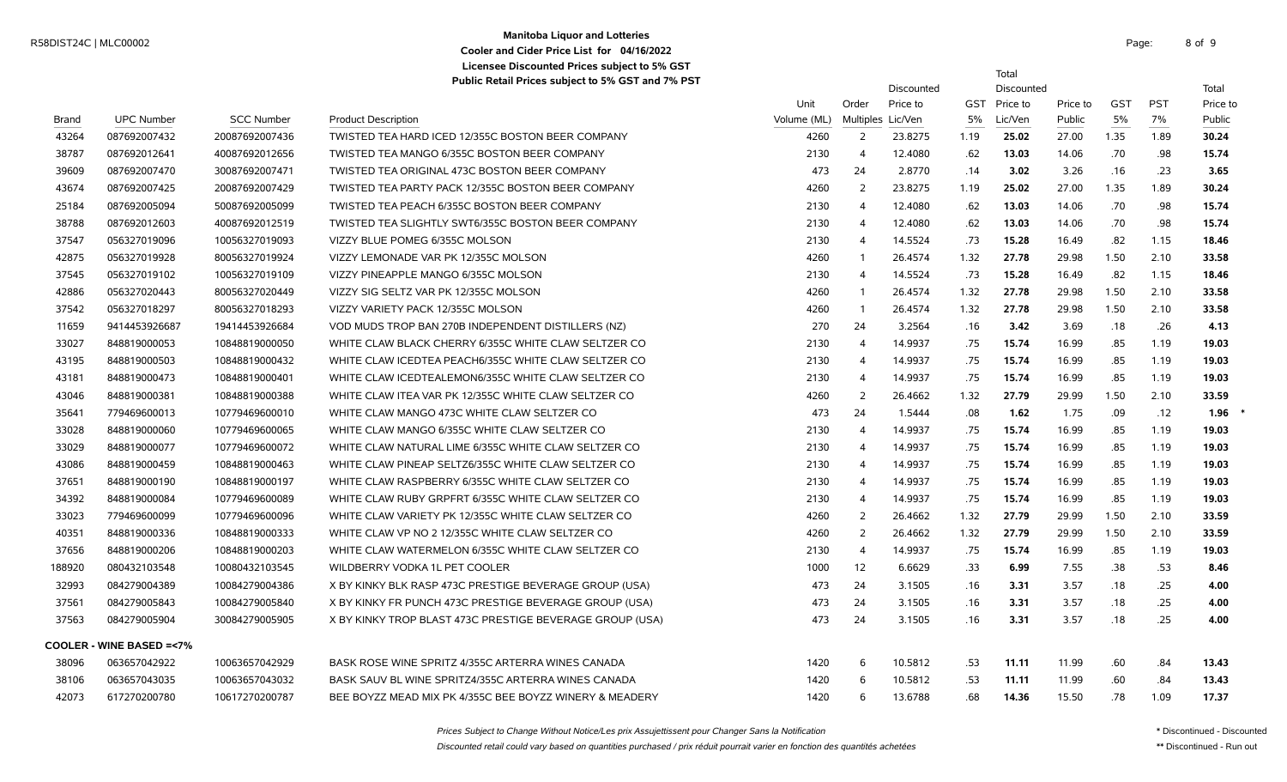### **Manitoba Liquor and Lotteries** R58DIST24C | MLC00002 Page: 8 of the page: 8 of the page: 8 of the page: 8 of the page: 8 of the page: 8 of the page: 8 of the page: 8 of the page: 8 of the page: 8 of the page: 8 of the page: 8 of the page: 8 of the page: **Cooler and Cider Price List for 04/16/2022 Licensee Discounted Prices subject to 5% GST**

8 of 9

Total

|              |                                    |                   | $\frac{1}{2}$ about 1, the control of the subject to 3 % and 7 % 1 3 m |             |                         | <b>Discounted</b> |      | Discounted   |          |            |            | Total    |
|--------------|------------------------------------|-------------------|------------------------------------------------------------------------|-------------|-------------------------|-------------------|------|--------------|----------|------------|------------|----------|
|              |                                    |                   |                                                                        | Unit        | Order                   | Price to          |      | GST Price to | Price to | <b>GST</b> | <b>PST</b> | Price to |
| <b>Brand</b> | <b>UPC Number</b>                  | <b>SCC Number</b> | <b>Product Description</b>                                             | Volume (ML) |                         | Multiples Lic/Ven | 5%   | Lic/Ven      | Public   | $5\%$      | 7%         | Public   |
| 43264        | 087692007432                       | 20087692007436    | TWISTED TEA HARD ICED 12/355C BOSTON BEER COMPANY                      | 4260        | 2                       | 23.8275           | 1.19 | 25.02        | 27.00    | 1.35       | 1.89       | 30.24    |
| 38787        | 087692012641                       | 40087692012656    | TWISTED TEA MANGO 6/355C BOSTON BEER COMPANY                           | 2130        | $\overline{4}$          | 12.4080           | .62  | 13.03        | 14.06    | .70        | .98        | 15.74    |
| 39609        | 087692007470                       | 30087692007471    | TWISTED TEA ORIGINAL 473C BOSTON BEER COMPANY                          | 473         | 24                      | 2.8770            | .14  | 3.02         | 3.26     | .16        | .23        | 3.65     |
| 43674        | 087692007425                       | 20087692007429    | TWISTED TEA PARTY PACK 12/355C BOSTON BEER COMPANY                     | 4260        | 2                       | 23.8275           | 1.19 | 25.02        | 27.00    | 1.35       | 1.89       | 30.24    |
| 25184        | 087692005094                       | 50087692005099    | TWISTED TEA PEACH 6/355C BOSTON BEER COMPANY                           | 2130        | 4                       | 12.4080           | .62  | 13.03        | 14.06    | .70        | .98        | 15.74    |
| 38788        | 087692012603                       | 40087692012519    | <b>TWISTED TEA SLIGHTLY SWT6/355C BOSTON BEER COMPANY</b>              | 2130        | $\overline{4}$          | 12.4080           | .62  | 13.03        | 14.06    | .70        | .98        | 15.74    |
| 37547        | 056327019096                       | 10056327019093    | VIZZY BLUE POMEG 6/355C MOLSON                                         | 2130        | $\overline{4}$          | 14.5524           | .73  | 15.28        | 16.49    | .82        | 1.15       | 18.46    |
| 42875        | 056327019928                       | 80056327019924    | VIZZY LEMONADE VAR PK 12/355C MOLSON                                   | 4260        | -1                      | 26.4574           | 1.32 | 27.78        | 29.98    | 1.50       | 2.10       | 33.58    |
| 37545        | 056327019102                       | 10056327019109    | VIZZY PINEAPPLE MANGO 6/355C MOLSON                                    | 2130        | $\overline{4}$          | 14.5524           | .73  | 15.28        | 16.49    | .82        | 1.15       | 18.46    |
| 42886        | 056327020443                       | 80056327020449    | VIZZY SIG SELTZ VAR PK 12/355C MOLSON                                  | 4260        | $\overline{\mathbf{1}}$ | 26.4574           | 1.32 | 27.78        | 29.98    | 1.50       | 2.10       | 33.58    |
| 37542        | 056327018297                       | 80056327018293    | VIZZY VARIETY PACK 12/355C MOLSON                                      | 4260        | -1                      | 26.4574           | 1.32 | 27.78        | 29.98    | 1.50       | 2.10       | 33.58    |
| 11659        | 9414453926687                      | 19414453926684    | VOD MUDS TROP BAN 270B INDEPENDENT DISTILLERS (NZ)                     | 270         | 24                      | 3.2564            | .16  | 3.42         | 3.69     | .18        | .26        | 4.13     |
| 33027        | 848819000053                       | 10848819000050    | WHITE CLAW BLACK CHERRY 6/355C WHITE CLAW SELTZER CO                   | 2130        | $\overline{\mathbf{A}}$ | 14.9937           | .75  | 15.74        | 16.99    | .85        | 1.19       | 19.03    |
| 43195        | 848819000503                       | 10848819000432    | WHITE CLAW ICEDTEA PEACH6/355C WHITE CLAW SELTZER CO                   | 2130        | $\overline{\mathbf{A}}$ | 14.9937           | .75  | 15.74        | 16.99    | .85        | 1.19       | 19.03    |
| 43181        | 848819000473                       | 10848819000401    | WHITE CLAW ICEDTEALEMON6/355C WHITE CLAW SELTZER CO                    | 2130        | 4                       | 14.9937           | .75  | 15.74        | 16.99    | .85        | 1.19       | 19.03    |
| 43046        | 848819000381                       | 10848819000388    | WHITE CLAW ITEA VAR PK 12/355C WHITE CLAW SELTZER CO                   | 4260        | 2                       | 26.4662           | 1.32 | 27.79        | 29.99    | 1.50       | 2.10       | 33.59    |
| 35641        | 779469600013                       | 10779469600010    | WHITE CLAW MANGO 473C WHITE CLAW SELTZER CO                            | 473         | 24                      | 1.5444            | .08  | 1.62         | 1.75     | .09        | .12        | 1.96     |
| 33028        | 848819000060                       | 10779469600065    | WHITE CLAW MANGO 6/355C WHITE CLAW SELTZER CO                          | 2130        | $\overline{4}$          | 14.9937           | .75  | 15.74        | 16.99    | .85        | 1.19       | 19.03    |
| 33029        | 848819000077                       | 10779469600072    | WHITE CLAW NATURAL LIME 6/355C WHITE CLAW SELTZER CO                   | 2130        | $\overline{4}$          | 14.9937           | .75  | 15.74        | 16.99    | .85        | 1.19       | 19.03    |
| 43086        | 848819000459                       | 10848819000463    | WHITE CLAW PINEAP SELTZ6/355C WHITE CLAW SELTZER CO                    | 2130        | $\overline{4}$          | 14.9937           | .75  | 15.74        | 16.99    | .85        | 1.19       | 19.03    |
| 37651        | 848819000190                       | 10848819000197    | WHITE CLAW RASPBERRY 6/355C WHITE CLAW SELTZER CO                      | 2130        | $\overline{4}$          | 14.9937           | .75  | 15.74        | 16.99    | .85        | 1.19       | 19.03    |
| 34392        | 848819000084                       | 10779469600089    | WHITE CLAW RUBY GRPFRT 6/355C WHITE CLAW SELTZER CO                    | 2130        | $\overline{4}$          | 14.9937           | .75  | 15.74        | 16.99    | .85        | 1.19       | 19.03    |
| 33023        | 779469600099                       | 10779469600096    | WHITE CLAW VARIETY PK 12/355C WHITE CLAW SELTZER CO                    | 4260        | 2                       | 26.4662           | 1.32 | 27.79        | 29.99    | 1.50       | 2.10       | 33.59    |
| 40351        | 848819000336                       | 10848819000333    | WHITE CLAW VP NO 2 12/355C WHITE CLAW SELTZER CO                       | 4260        | 2                       | 26.4662           | 1.32 | 27.79        | 29.99    | 1.50       | 2.10       | 33.59    |
| 37656        | 848819000206                       | 10848819000203    | WHITE CLAW WATERMELON 6/355C WHITE CLAW SELTZER CO                     | 2130        | $\overline{4}$          | 14.9937           | .75  | 15.74        | 16.99    | .85        | 1.19       | 19.03    |
| 188920       | 080432103548                       | 10080432103545    | WILDBERRY VODKA 1L PET COOLER                                          | 1000        | 12                      | 6.6629            | .33  | 6.99         | 7.55     | .38        | .53        | 8.46     |
| 32993        | 084279004389                       | 10084279004386    | X BY KINKY BLK RASP 473C PRESTIGE BEVERAGE GROUP (USA)                 | 473         | 24                      | 3.1505            | .16  | 3.31         | 3.57     | .18        | .25        | 4.00     |
| 37561        | 084279005843                       | 10084279005840    | X BY KINKY FR PUNCH 473C PRESTIGE BEVERAGE GROUP (USA)                 | 473         | 24                      | 3.1505            | .16  | 3.31         | 3.57     | .18        | .25        | 4.00     |
| 37563        | 084279005904                       | 30084279005905    | X BY KINKY TROP BLAST 473C PRESTIGE BEVERAGE GROUP (USA)               | 473         | 24                      | 3.1505            | .16  | 3.31         | 3.57     | .18        | .25        | 4.00     |
|              | <b>COOLER - WINE BASED =&lt;7%</b> |                   |                                                                        |             |                         |                   |      |              |          |            |            |          |
| 38096        | 063657042922                       | 10063657042929    | BASK ROSE WINE SPRITZ 4/355C ARTERRA WINES CANADA                      | 1420        | 6                       | 10.5812           | .53  | 11.11        | 11.99    | .60        | .84        | 13.43    |
| 38106        | 063657043035                       | 10063657043032    | BASK SAUV BL WINE SPRITZ4/355C ARTERRA WINES CANADA                    | 1420        | 6                       | 10.5812           | .53  | 11.11        | 11.99    | .60        | .84        | 13.43    |
| 42073        | 617270200780                       | 10617270200787    | BEE BOYZZ MEAD MIX PK 4/355C BEE BOYZZ WINERY & MEADERY                | 1420        | 6                       | 13.6788           | .68  | 14.36        | 15.50    | .78        | 1.09       | 17.37    |